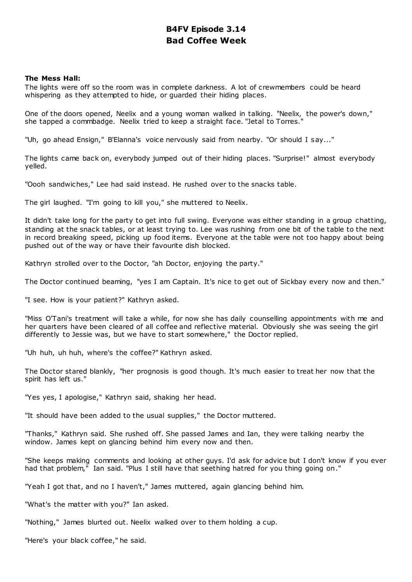# **B4FV Episode 3.14 Bad Coffee Week**

# **The Mess Hall:**

The lights were off so the room was in complete darkness. A lot of crewmembers could be heard whispering as they attempted to hide, or guarded their hiding places.

One of the doors opened, Neelix and a young woman walked in talking. "Neelix, the power's down," she tapped a commbadge. Neelix tried to keep a straight face. "Jetal to Torres."

"Uh, go ahead Ensign," B'Elanna's voice nervously said from nearby. "Or should I say..."

The lights came back on, everybody jumped out of their hiding places. "Surprise!" almost everybody yelled.

"Oooh sandwiches," Lee had said instead. He rushed over to the snacks table.

The girl laughed. "I'm going to kill you," she muttered to Neelix.

It didn't take long for the party to get into full swing. Everyone was either standing in a group chatting, standing at the snack tables, or at least trying to. Lee was rushing from one bit of the table to the next in record breaking speed, picking up food items. Everyone at the table were not too happy about being pushed out of the way or have their favourite dish blocked.

Kathryn strolled over to the Doctor, "ah Doctor, enjoying the party."

The Doctor continued beaming, "yes I am Captain. It's nice to get out of Sickbay every now and then."

"I see. How is your patient?" Kathryn asked.

"Miss O'Tani's treatment will take a while, for now she has daily counselling appointments with me and her quarters have been cleared of all coffee and reflective material. Obviously she was seeing the girl differently to Jessie was, but we have to start somewhere," the Doctor replied.

"Uh huh, uh huh, where's the coffee?" Kathryn asked.

The Doctor stared blankly, "her prognosis is good though. It's much easier to treat her now that the spirit has left us."

"Yes yes, I apologise," Kathryn said, shaking her head.

"It should have been added to the usual supplies," the Doctor muttered.

"Thanks," Kathryn said. She rushed off. She passed James and Ian, they were talking nearby the window. James kept on glancing behind him every now and then.

"She keeps making comments and looking at other guys. I'd ask for advice but I don't know if you ever had that problem," Ian said. "Plus I still have that seething hatred for you thing going on."

"Yeah I got that, and no I haven't," James muttered, again glancing behind him.

"What's the matter with you?" Ian asked.

"Nothing," James blurted out. Neelix walked over to them holding a cup.

"Here's your black coffee," he said.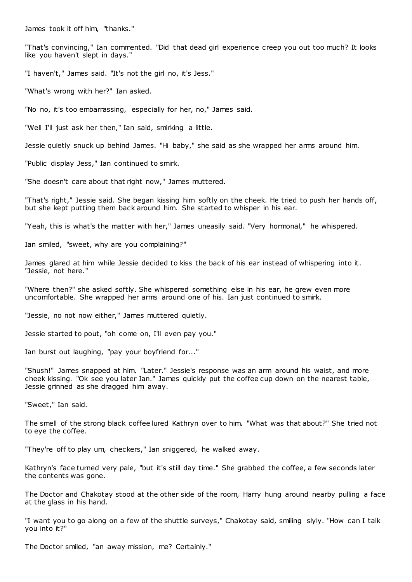James took it off him, "thanks."

"That's convincing," Ian commented. "Did that dead girl experience creep you out too much? It looks like you haven't slept in days."

"I haven't," James said. "It's not the girl no, it's Jess."

"What's wrong with her?" Ian asked.

"No no, it's too embarrassing, especially for her, no," James said.

"Well I'll just ask her then," Ian said, smirking a little.

Jessie quietly snuck up behind James. "Hi baby," she said as she wrapped her arms around him.

"Public display Jess," Ian continued to smirk.

"She doesn't care about that right now," James muttered.

"That's right," Jessie said. She began kissing him softly on the cheek. He tried to push her hands off, but she kept putting them back around him. She started to whisper in his ear.

"Yeah, this is what's the matter with her," James uneasily said. "Very hormonal," he whispered.

Ian smiled, "sweet, why are you complaining?"

James glared at him while Jessie decided to kiss the back of his ear instead of whispering into it. "Jessie, not here."

"Where then?" she asked softly. She whispered something else in his ear, he grew even more uncomfortable. She wrapped her arms around one of his. Ian just continued to smirk.

"Jessie, no not now either," James muttered quietly.

Jessie started to pout, "oh come on, I'll even pay you."

Ian burst out laughing, "pay your boyfriend for..."

"Shush!" James snapped at him. "Later." Jessie's response was an arm around his waist, and more cheek kissing. "Ok see you later Ian." James quickly put the coffee cup down on the nearest table, Jessie grinned as she dragged him away.

"Sweet," Ian said.

The smell of the strong black coffee lured Kathryn over to him. "What was that about?" She tried not to eye the coffee.

"They're off to play um, checkers," Ian sniggered, he walked away.

Kathryn's face turned very pale, "but it's still day time." She grabbed the coffee, a few seconds later the contents was gone.

The Doctor and Chakotay stood at the other side of the room, Harry hung around nearby pulling a face at the glass in his hand.

"I want you to go along on a few of the shuttle surveys," Chakotay said, smiling slyly. "How can I talk you into it?"

The Doctor smiled, "an away mission, me? Certainly."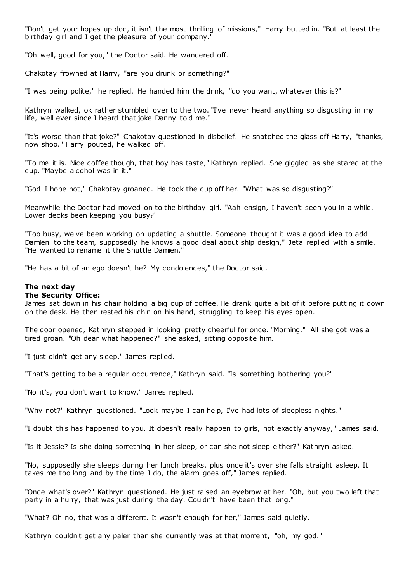"Don't get your hopes up doc , it isn't the most thrilling of missions," Harry butted in. "But at least the birthday girl and I get the pleasure of your company.

"Oh well, good for you," the Doctor said. He wandered off.

Chakotay frowned at Harry, "are you drunk or something?"

"I was being polite," he replied. He handed him the drink, "do you want, whatever this is?"

Kathryn walked, ok rather stumbled over to the two. "I've never heard anything so disgusting in my life, well ever since I heard that joke Danny told me."

"It's worse than that joke?" Chakotay questioned in disbelief. He snatched the glass off Harry, "thanks, now shoo." Harry pouted, he walked off.

"To me it is. Nice coffee though, that boy has taste," Kathryn replied. She giggled as she stared at the cup. "Maybe alcohol was in it."

"God I hope not," Chakotay groaned. He took the cup off her. "What was so disgusting?"

Meanwhile the Doctor had moved on to the birthday girl. "Aah ensign, I haven't seen you in a while. Lower decks been keeping you busy?"

"Too busy, we've been working on updating a shuttle. Someone thought it was a good idea to add Damien to the team, supposedly he knows a good deal about ship design," Jetal replied with a smile. "He wanted to rename it the Shuttle Damien."

"He has a bit of an ego doesn't he? My condolences," the Doctor said.

# **The next day**

# **The Security Office:**

James sat down in his chair holding a big cup of coffee. He drank quite a bit of it before putting it down on the desk. He then rested his chin on his hand, struggling to keep his eyes open.

The door opened, Kathryn stepped in looking pretty cheerful for once. "Morning." All she got was a tired groan. "Oh dear what happened?" she asked, sitting opposite him.

"I just didn't get any sleep," James replied.

"That's getting to be a regular occurrence," Kathryn said. "Is something bothering you?"

"No it's, you don't want to know," James replied.

"Why not?" Kathryn questioned. "Look maybe I can help, I've had lots of sleepless nights."

"I doubt this has happened to you. It doesn't really happen to girls, not exactly anyway," James said.

"Is it Jessie? Is she doing something in her sleep, or can she not sleep either?" Kathryn asked.

"No, supposedly she sleeps during her lunch breaks, plus once it's over she falls straight asleep. It takes me too long and by the time I do, the alarm goes off," James replied.

"Once what's over?" Kathryn questioned. He just raised an eyebrow at her. "Oh, but you two left that party in a hurry, that was just during the day. Couldn't have been that long."

"What? Oh no, that was a different. It wasn't enough for her," James said quietly.

Kathryn couldn't get any paler than she currently was at that moment, "oh, my god."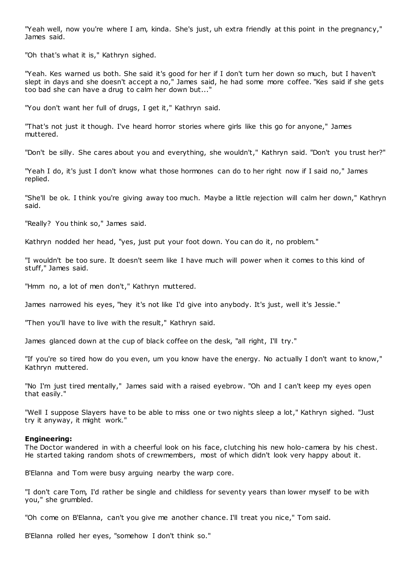"Yeah well, now you're where I am, kinda. She's just, uh extra friendly at this point in the pregnancy," James said.

"Oh that's what it is," Kathryn sighed.

"Yeah. Kes warned us both. She said it's good for her if I don't turn her down so much, but I haven't slept in days and she doesn't accept a no," James said, he had some more coffee. "Kes said if she gets too bad she can have a drug to calm her down but..."

"You don't want her full of drugs, I get it," Kathryn said.

"That's not just it though. I've heard horror stories where girls like this go for anyone," James muttered.

"Don't be silly. She cares about you and everything, she wouldn't," Kathryn said. "Don't you trust her?"

"Yeah I do, it's just I don't know what those hormones can do to her right now if I said no," James replied.

"She'll be ok. I think you're giving away too much. Maybe a little rejection will calm her down," Kathryn said.

"Really? You think so," James said.

Kathryn nodded her head, "yes, just put your foot down. You can do it, no problem."

"I wouldn't be too sure. It doesn't seem like I have much will power when it comes to this kind of stuff," James said.

"Hmm no, a lot of men don't," Kathryn muttered.

James narrowed his eyes, "hey it's not like I'd give into anybody. It's just, well it's Jessie."

"Then you'll have to live with the result," Kathryn said.

James glanced down at the cup of black coffee on the desk, "all right, I'll try."

"If you're so tired how do you even, um you know have the energy. No actually I don't want to know," Kathryn muttered.

"No I'm just tired mentally," James said with a raised eyebrow. "Oh and I can't keep my eyes open that easily."

"Well I suppose Slayers have to be able to miss one or two nights sleep a lot," Kathryn sighed. "Just try it anyway, it might work."

#### **Engineering:**

The Doctor wandered in with a cheerful look on his face, clutching his new holo-camera by his chest. He started taking random shots of crewmembers, most of which didn't look very happy about it.

B'Elanna and Tom were busy arguing nearby the warp core.

"I don't care Tom, I'd rather be single and childless for seventy years than lower myself to be with you," she grumbled.

"Oh come on B'Elanna, can't you give me another chance. I'll treat you nice," Tom said.

B'Elanna rolled her eyes, "somehow I don't think so."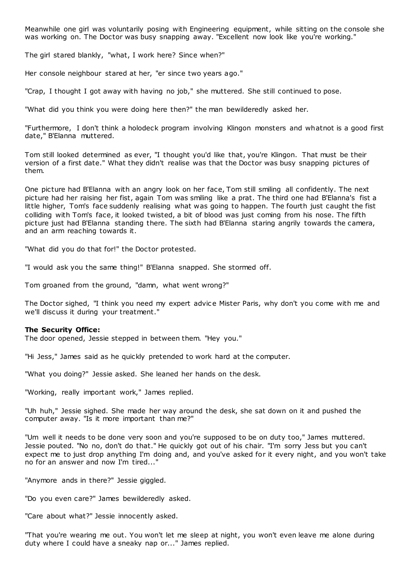Meanwhile one girl was voluntarily posing with Engineering equipment, while sitting on the console she was working on. The Doctor was busy snapping away. "Excellent now look like you're working."

The girl stared blankly, "what, I work here? Since when?"

Her console neighbour stared at her, "er since two years ago."

"Crap, I thought I got away with having no job," she muttered. She still continued to pose.

"What did you think you were doing here then?" the man bewilderedly asked her.

"Furthermore, I don't think a holodeck program involving Klingon monsters and whatnot is a good first date," B'Elanna muttered.

Tom still looked determined as ever, "I thought you'd like that, you're Klingon. That must be their version of a first date." What they didn't realise was that the Doctor was busy snapping pictures of them.

One picture had B'Elanna with an angry look on her face, Tom still smiling all confidently. The next picture had her raising her fist, again Tom was smiling like a prat. The third one had B'Elanna's fist a little higher, Tom's face suddenly realising what was going to happen. The fourth just caught the fist colliding with Tom's face, it looked twisted, a bit of blood was just coming from his nose. The fifth picture just had B'Elanna standing there. The sixth had B'Elanna staring angrily towards the camera, and an arm reaching towards it.

"What did you do that for!" the Doctor protested.

"I would ask you the same thing!" B'Elanna snapped. She stormed off.

Tom groaned from the ground, "damn, what went wrong?"

The Doctor sighed, "I think you need my expert advice Mister Paris, why don't you come with me and we'll discuss it during your treatment."

# **The Security Office:**

The door opened, Jessie stepped in between them. "Hey you."

"Hi Jess," James said as he quickly pretended to work hard at the computer.

"What you doing?" Jessie asked. She leaned her hands on the desk.

"Working, really important work," James replied.

"Uh huh," Jessie sighed. She made her way around the desk, she sat down on it and pushed the computer away. "Is it more important than me?"

"Um well it needs to be done very soon and you're supposed to be on duty too," James muttered. Jessie pouted. "No no, don't do that." He quickly got out of his chair. "I'm sorry Jess but you can't expect me to just drop anything I'm doing and, and you've asked for it every night, and you won't take no for an answer and now I'm tired..."

"Anymore ands in there?" Jessie giggled.

"Do you even care?" James bewilderedly asked.

"Care about what?" Jessie innocently asked.

"That you're wearing me out. You won't let me sleep at night, you won't even leave me alone during duty where I could have a sneaky nap or..." James replied.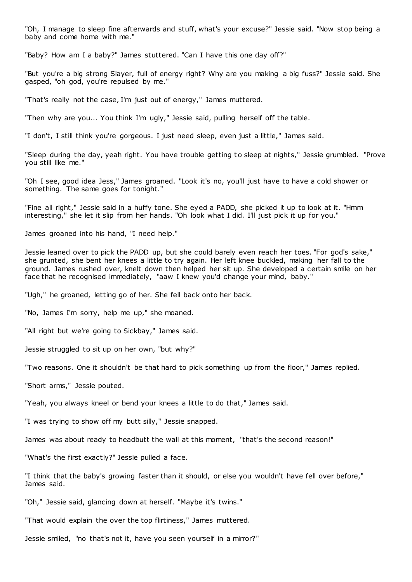"Oh, I manage to sleep fine afterwards and stuff, what's your excuse?" Jessie said. "Now stop being a baby and come home with me."

"Baby? How am I a baby?" James stuttered. "Can I have this one day off?"

"But you're a big strong Slayer, full of energy right? Why are you making a big fuss?" Jessie said. She gasped, "oh god, you're repulsed by me."

"That's really not the case, I'm just out of energy," James muttered.

"Then why are you... You think I'm ugly," Jessie said, pulling herself off the table.

"I don't, I still think you're gorgeous. I just need sleep, even just a little," James said.

"Sleep during the day, yeah right. You have trouble getting to sleep at nights," Jessie grumbled. "Prove you still like me."

"Oh I see, good idea Jess," James groaned. "Look it's no, you'll just have to have a cold shower or something. The same goes for tonight."

"Fine all right," Jessie said in a huffy tone. She eyed a PADD, she picked it up to look at it. "Hmm interesting," she let it slip from her hands. "Oh look what I did. I'll just pick it up for you."

James groaned into his hand, "I need help."

Jessie leaned over to pick the PADD up, but she could barely even reach her toes. "For god's sake," she grunted, she bent her knees a little to try again. Her left knee buckled, making her fall to the ground. James rushed over, knelt down then helped her sit up. She developed a certain smile on her face that he recognised immediately, "aaw I knew you'd change your mind, baby."

"Ugh," he groaned, letting go of her. She fell back onto her back.

"No, James I'm sorry, help me up," she moaned.

"All right but we're going to Sickbay," James said.

Jessie struggled to sit up on her own, "but why?"

"Two reasons. One it shouldn't be that hard to pick something up from the floor," James replied.

"Short arms," Jessie pouted.

"Yeah, you always kneel or bend your knees a little to do that," James said.

"I was trying to show off my butt silly," Jessie snapped.

James was about ready to headbutt the wall at this moment, "that's the second reason!"

"What's the first exactly?" Jessie pulled a face.

"I think that the baby's growing faster than it should, or else you wouldn't have fell over before," James said.

"Oh," Jessie said, glancing down at herself. "Maybe it's twins."

"That would explain the over the top flirtiness," James muttered.

Jessie smiled, "no that's not it, have you seen yourself in a mirror?"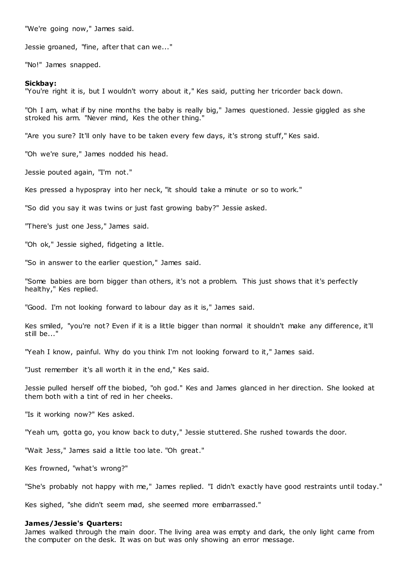"We're going now," James said.

Jessie groaned, "fine, after that can we..."

"No!" James snapped.

#### **Sickbay:**

"You're right it is, but I wouldn't worry about it," Kes said, putting her tricorder back down.

"Oh I am, what if by nine months the baby is really big," James questioned. Jessie giggled as she stroked his arm. "Never mind, Kes the other thing."

"Are you sure? It'll only have to be taken every few days, it's strong stuff," Kes said.

"Oh we're sure," James nodded his head.

Jessie pouted again, "I'm not."

Kes pressed a hypospray into her neck, "it should take a minute or so to work."

"So did you say it was twins or just fast growing baby?" Jessie asked.

"There's just one Jess," James said.

"Oh ok," Jessie sighed, fidgeting a little.

"So in answer to the earlier question," James said.

"Some babies are born bigger than others, it's not a problem. This just shows that it's perfectly healthy," Kes replied.

"Good. I'm not looking forward to labour day as it is," James said.

Kes smiled, "you're not? Even if it is a little bigger than normal it shouldn't make any difference, it'll still be...'

"Yeah I know, painful. Why do you think I'm not looking forward to it," James said.

"Just remember it's all worth it in the end," Kes said.

Jessie pulled herself off the biobed, "oh god." Kes and James glanced in her direction. She looked at them both with a tint of red in her cheeks.

"Is it working now?" Kes asked.

"Yeah um, gotta go, you know back to duty," Jessie stuttered. She rushed towards the door.

"Wait Jess," James said a little too late. "Oh great."

Kes frowned, "what's wrong?"

"She's probably not happy with me," James replied. "I didn't exactly have good restraints until today."

Kes sighed, "she didn't seem mad, she seemed more embarrassed."

#### **James/Jessie's Quarters:**

James walked through the main door. The living area was empty and dark, the only light came from the computer on the desk. It was on but was only showing an error message.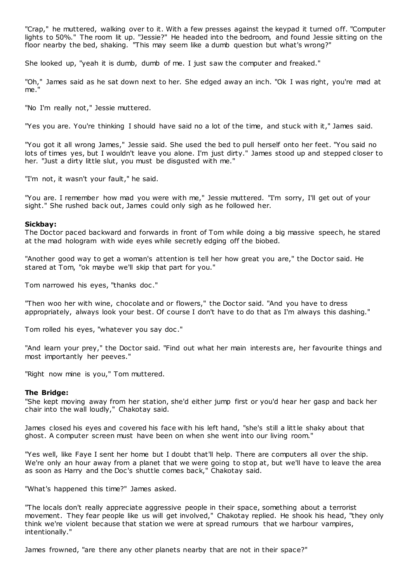"Crap," he muttered, walking over to it. With a few presses against the keypad it turned off. "Computer lights to 50%." The room lit up. "Jessie?" He headed into the bedroom, and found Jessie sitting on the floor nearby the bed, shaking. "This may seem like a dumb question but what's wrong?"

She looked up, "yeah it is dumb, dumb of me. I just saw the computer and freaked."

"Oh," James said as he sat down next to her. She edged away an inch. "Ok I was right, you're mad at me."

"No I'm really not," Jessie muttered.

"Yes you are. You're thinking I should have said no a lot of the time, and stuck with it," James said.

"You got it all wrong James," Jessie said. She used the bed to pull herself onto her feet. "You said no lots of times yes, but I wouldn't leave you alone. I'm just dirty." James stood up and stepped closer to her. "Just a dirty little slut, you must be disgusted with me."

"I'm not, it wasn't your fault," he said.

"You are. I remember how mad you were with me," Jessie muttered. "I'm sorry, I'll get out of your sight." She rushed back out, James could only sigh as he followed her.

#### **Sickbay:**

The Doctor paced backward and forwards in front of Tom while doing a big massive speech, he stared at the mad hologram with wide eyes while secretly edging off the biobed.

"Another good way to get a woman's attention is tell her how great you are," the Doctor said. He stared at Tom, "ok maybe we'll skip that part for you."

Tom narrowed his eyes, "thanks doc ."

"Then woo her with wine, chocolate and or flowers," the Doctor said. "And you have to dress appropriately, always look your best. Of course I don't have to do that as I'm always this dashing."

Tom rolled his eyes, "whatever you say doc ."

"And learn your prey," the Doctor said. "Find out what her main interests are, her favourite things and most importantly her peeves."

"Right now mine is you," Tom muttered.

# **The Bridge:**

"She kept moving away from her station, she'd either jump first or you'd hear her gasp and back her chair into the wall loudly," Chakotay said.

James closed his eyes and covered his face with his left hand, "she's still a little shaky about that ghost. A computer screen must have been on when she went into our living room."

"Yes well, like Faye I sent her home but I doubt that'll help. There are computers all over the ship. We're only an hour away from a planet that we were going to stop at, but we'll have to leave the area as soon as Harry and the Doc's shuttle comes back," Chakotay said.

"What's happened this time?" James asked.

"The locals don't really appreciate aggressive people in their space, something about a terrorist movement. They fear people like us will get involved," Chakotay replied. He shook his head, "they only think we're violent because that station we were at spread rumours that we harbour vampires, intentionally."

James frowned, "are there any other planets nearby that are not in their space?"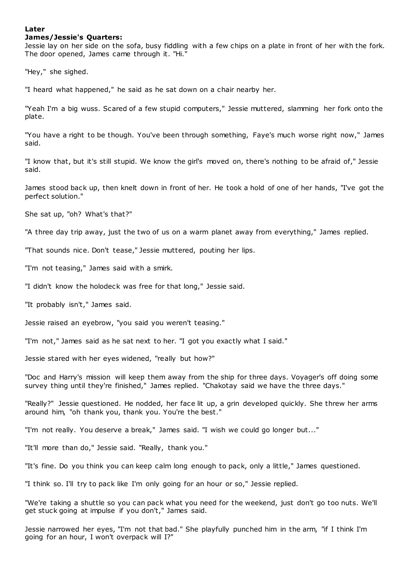# **Later**

## **James/Jessie's Quarters:**

Jessie lay on her side on the sofa, busy fiddling with a few chips on a plate in front of her with the fork. The door opened, James came through it. "Hi."

"Hey," she sighed.

"I heard what happened," he said as he sat down on a chair nearby her.

"Yeah I'm a big wuss. Scared of a few stupid computers," Jessie muttered, slamming her fork onto the plate.

"You have a right to be though. You've been through something, Faye's much worse right now," James said.

"I know that, but it's still stupid. We know the girl's moved on, there's nothing to be afraid of," Jessie said.

James stood back up, then knelt down in front of her. He took a hold of one of her hands, "I've got the perfect solution."

She sat up, "oh? What's that?"

"A three day trip away, just the two of us on a warm planet away from everything," James replied.

"That sounds nice. Don't tease," Jessie muttered, pouting her lips.

"I'm not teasing," James said with a smirk.

"I didn't know the holodeck was free for that long," Jessie said.

"It probably isn't," James said.

Jessie raised an eyebrow, "you said you weren't teasing."

"I'm not," James said as he sat next to her. "I got you exactly what I said."

Jessie stared with her eyes widened, "really but how?"

"Doc and Harry's mission will keep them away from the ship for three days. Voyager's off doing some survey thing until they're finished," James replied. "Chakotay said we have the three days."

"Really?" Jessie questioned. He nodded, her face lit up, a grin developed quickly. She threw her arms around him, "oh thank you, thank you. You're the best."

"I'm not really. You deserve a break," James said. "I wish we could go longer but..."

"It'll more than do," Jessie said. "Really, thank you."

"It's fine. Do you think you can keep calm long enough to pack, only a little," James questioned.

"I think so. I'll try to pack like I'm only going for an hour or so," Jessie replied.

"We're taking a shuttle so you can pack what you need for the weekend, just don't go too nuts. We'll get stuck going at impulse if you don't," James said.

Jessie narrowed her eyes, "I'm not that bad." She playfully punched him in the arm, "if I think I'm going for an hour, I won't overpack will I?"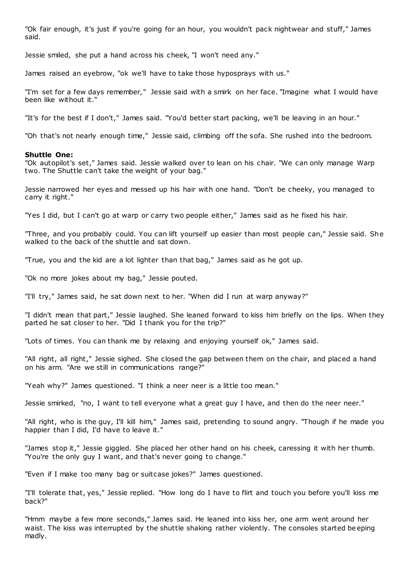"Ok fair enough, it's just if you're going for an hour, you wouldn't pack nightwear and stuff," James said.

Jessie smiled, she put a hand across his cheek, "I won't need any."

James raised an eyebrow, "ok we'll have to take those hyposprays with us."

"I'm set for a few days remember," Jessie said with a smirk on her face. "Imagine what I would have been like without it."

"It's for the best if I don't," James said. "You'd better start packing, we'll be leaving in an hour."

"Oh that's not nearly enough time," Jessie said, climbing off the sofa. She rushed into the bedroom.

## **Shuttle One:**

"Ok autopilot's set," James said. Jessie walked over to lean on his chair. "We can only manage Warp two. The Shuttle can't take the weight of your bag."

Jessie narrowed her eyes and messed up his hair with one hand. "Don't be cheeky, you managed to carry it right."

"Yes I did, but I can't go at warp or carry two people either," James said as he fixed his hair.

"Three, and you probably could. You can lift yourself up easier than most people can," Jessie said. She walked to the back of the shuttle and sat down.

"True, you and the kid are a lot lighter than that bag," James said as he got up.

"Ok no more jokes about my bag," Jessie pouted.

"I'll try," James said, he sat down next to her. "When did I run at warp anyway?"

"I didn't mean that part," Jessie laughed. She leaned forward to kiss him briefly on the lips. When they parted he sat closer to her. "Did I thank you for the trip?"

"Lots of times. You can thank me by relaxing and enjoying yourself ok," James said.

"All right, all right," Jessie sighed. She closed the gap between them on the chair, and placed a hand on his arm. "Are we still in communications range?"

"Yeah why?" James questioned. "I think a neer neer is a little too mean."

Jessie smirked, "no, I want to tell everyone what a great guy I have, and then do the neer neer."

"All right, who is the guy, I'll kill him," James said, pretending to sound angry. "Though if he made you happier than I did, I'd have to leave it."

"James stop it," Jessie giggled. She placed her other hand on his cheek, caressing it with her thumb. "You're the only guy I want, and that's never going to change."

"Even if I make too many bag or suitcase jokes?" James questioned.

"I'll tolerate that, yes," Jessie replied. "How long do I have to flirt and touch you before you'll kiss me back?"

"Hmm maybe a few more seconds," James said. He leaned into kiss her, one arm went around her waist. The kiss was interrupted by the shuttle shaking rather violently. The consoles started beeping madly.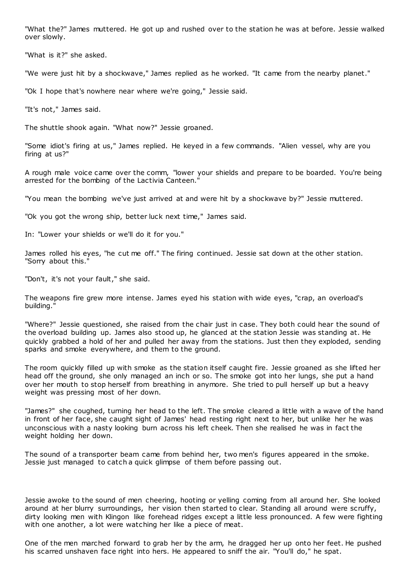"What the?" James muttered. He got up and rushed over to the station he was at before. Jessie walked over slowly.

"What is it?" she asked.

"We were just hit by a shockwave," James replied as he worked. "It came from the nearby planet."

"Ok I hope that's nowhere near where we're going," Jessie said.

"It's not," James said.

The shuttle shook again. "What now?" Jessie groaned.

"Some idiot's firing at us," James replied. He keyed in a few commands. "Alien vessel, why are you firing at us?"

A rough male voice came over the comm, "lower your shields and prepare to be boarded. You're being arrested for the bombing of the Lactivia Canteen."

"You mean the bombing we've just arrived at and were hit by a shockwave by?" Jessie muttered.

"Ok you got the wrong ship, better luck next time," James said.

In: "Lower your shields or we'll do it for you."

James rolled his eyes, "he cut me off." The firing continued. Jessie sat down at the other station. "Sorry about this."

"Don't, it's not your fault," she said.

The weapons fire grew more intense. James eyed his station with wide eyes, "crap, an overload's building."

"Where?" Jessie questioned, she raised from the chair just in case. They both could hear the sound of the overload building up. James also stood up, he glanced at the station Jessie was standing at. He quickly grabbed a hold of her and pulled her away from the stations. Just then they exploded, sending sparks and smoke everywhere, and them to the ground.

The room quickly filled up with smoke as the station itself caught fire. Jessie groaned as she lifted her head off the ground, she only managed an inch or so. The smoke got into her lungs, she put a hand over her mouth to stop herself from breathing in anymore. She tried to pull herself up but a heavy weight was pressing most of her down.

"James?" she coughed, turning her head to the left. The smoke cleared a little with a wave of the hand in front of her face, she caught sight of James' head resting right next to her, but unlike her he was unconscious with a nasty looking burn across his left cheek. Then she realised he was in fact the weight holding her down.

The sound of a transporter beam came from behind her, two men's figures appeared in the smoke. Jessie just managed to catch a quick glimpse of them before passing out.

Jessie awoke to the sound of men cheering, hooting or yelling coming from all around her. She looked around at her blurry surroundings, her vision then started to clear. Standing all around were scruffy, dirty looking men with Klingon like forehead ridges except a little less pronounced. A few were fighting with one another, a lot were watching her like a piece of meat.

One of the men marched forward to grab her by the arm, he dragged her up onto her feet. He pushed his scarred unshaven face right into hers. He appeared to sniff the air. "You'll do," he spat.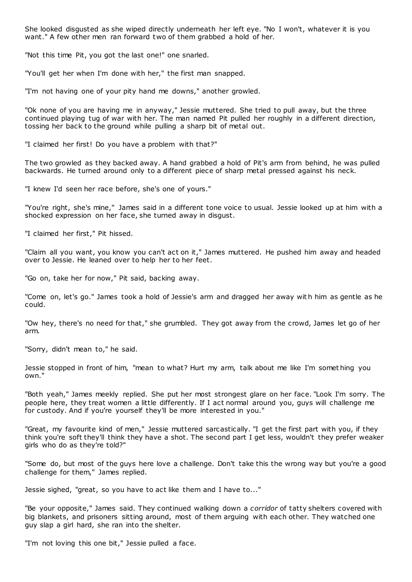She looked disgusted as she wiped directly underneath her left eye. "No I won't, whatever it is you want." A few other men ran forward two of them grabbed a hold of her.

"Not this time Pit, you got the last one!" one snarled.

"You'll get her when I'm done with her," the first man snapped.

"I'm not having one of your pity hand me downs," another growled.

"Ok none of you are having me in anyway," Jessie muttered. She tried to pull away, but the three continued playing tug of war with her. The man named Pit pulled her roughly in a different direction, tossing her back to the ground while pulling a sharp bit of metal out.

"I claimed her first! Do you have a problem with that?"

The two growled as they backed away. A hand grabbed a hold of Pit's arm from behind, he was pulled backwards. He turned around only to a different piece of sharp metal pressed against his neck.

"I knew I'd seen her race before, she's one of yours."

"You're right, she's mine," James said in a different tone voice to usual. Jessie looked up at him with a shocked expression on her face, she turned away in disgust.

"I claimed her first," Pit hissed.

"Claim all you want, you know you can't act on it," James muttered. He pushed him away and headed over to Jessie. He leaned over to help her to her feet.

"Go on, take her for now," Pit said, backing away.

"Come on, let's go." James took a hold of Jessie's arm and dragged her away wit h him as gentle as he could.

"Ow hey, there's no need for that," she grumbled. They got away from the crowd, James let go of her arm.

"Sorry, didn't mean to," he said.

Jessie stopped in front of him, "mean to what? Hurt my arm, talk about me like I'm somet hing you own."

"Both yeah," James meekly replied. She put her most strongest glare on her face. "Look I'm sorry. The people here, they treat women a little differently. If I act normal around you, guys will challenge me for custody. And if you're yourself they'll be more interested in you."

"Great, my favourite kind of men," Jessie muttered sarcastically. "I get the first part with you, if they think you're soft they'll think they have a shot. The second part I get less, wouldn't they prefer weaker girls who do as they're told?"

"Some do, but most of the guys here love a challenge. Don't take this the wrong way but you're a good challenge for them," James replied.

Jessie sighed, "great, so you have to act like them and I have to..."

"Be your opposite," James said. They continued walking down a *corridor* of tatty shelters covered with big blankets, and prisoners sitting around, most of them arguing with each other. They watched one guy slap a girl hard, she ran into the shelter.

"I'm not loving this one bit," Jessie pulled a face.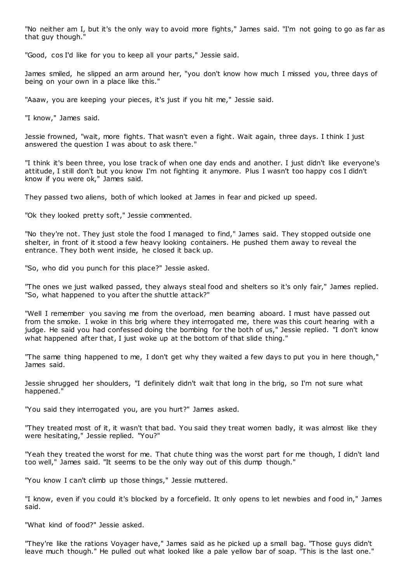"No neither am I, but it's the only way to avoid more fights," James said. "I'm not going to go as far as that guy though."

"Good, cos I'd like for you to keep all your parts," Jessie said.

James smiled, he slipped an arm around her, "you don't know how much I missed you, three days of being on your own in a place like this."

"Aaaw, you are keeping your pieces, it's just if you hit me," Jessie said.

"I know," James said.

Jessie frowned, "wait, more fights. That wasn't even a fight. Wait again, three days. I think I just answered the question I was about to ask there."

"I think it's been three, you lose track of when one day ends and another. I just didn't like everyone's attitude, I still don't but you know I'm not fighting it anymore. Plus I wasn't too happy cos I didn't know if you were ok," James said.

They passed two aliens, both of which looked at James in fear and picked up speed.

"Ok they looked pretty soft," Jessie commented.

"No they're not. They just stole the food I managed to find," James said. They stopped outside one shelter, in front of it stood a few heavy looking containers. He pushed them away to reveal the entrance. They both went inside, he closed it back up.

"So, who did you punch for this place?" Jessie asked.

"The ones we just walked passed, they always steal food and shelters so it's only fair," James replied. "So, what happened to you after the shuttle attack?"

"Well I remember you saving me from the overload, men beaming aboard. I must have passed out from the smoke. I woke in this brig where they interrogated me, there was this court hearing with a judge. He said you had confessed doing the bombing for the both of us," Jessie replied. "I don't know what happened after that, I just woke up at the bottom of that slide thing."

"The same thing happened to me, I don't get why they waited a few days to put you in here though," James said.

Jessie shrugged her shoulders, "I definitely didn't wait that long in the brig, so I'm not sure what happened."

"You said they interrogated you, are you hurt?" James asked.

"They treated most of it, it wasn't that bad. You said they treat women badly, it was almost like they were hesitating," Jessie replied. "You?"

"Yeah they treated the worst for me. That chute thing was the worst part for me though, I didn't land too well," James said. "It seems to be the only way out of this dump though."

"You know I can't climb up those things," Jessie muttered.

"I know, even if you could it's blocked by a forcefield. It only opens to let newbies and food in," James said.

"What kind of food?" Jessie asked.

"They're like the rations Voyager have," James said as he picked up a small bag. "Those guys didn't leave much though." He pulled out what looked like a pale yellow bar of soap. "This is the last one."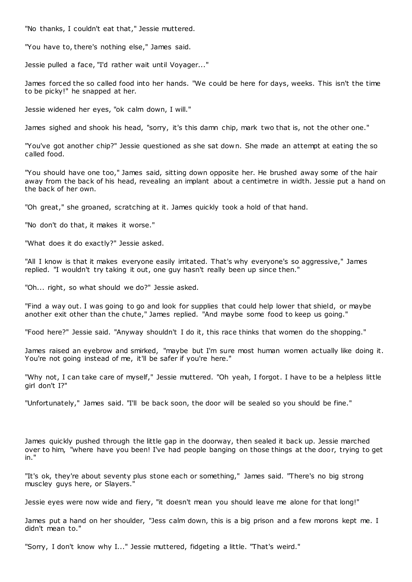"No thanks, I couldn't eat that," Jessie muttered.

"You have to, there's nothing else," James said.

Jessie pulled a face, "I'd rather wait until Voyager..."

James forced the so called food into her hands. "We could be here for days, weeks. This isn't the time to be picky!" he snapped at her.

Jessie widened her eyes, "ok calm down, I will."

James sighed and shook his head, "sorry, it's this damn chip, mark two that is, not the other one."

"You've got another chip?" Jessie questioned as she sat down. She made an attempt at eating the so called food.

"You should have one too," James said, sitting down opposite her. He brushed away some of the hair away from the back of his head, revealing an implant about a centimetre in width. Jessie put a hand on the back of her own.

"Oh great," she groaned, scratching at it. James quickly took a hold of that hand.

"No don't do that, it makes it worse."

"What does it do exactly?" Jessie asked.

"All I know is that it makes everyone easily irritated. That's why everyone's so aggressive," James replied. "I wouldn't try taking it out, one guy hasn't really been up since then."

"Oh... right, so what should we do?" Jessie asked.

"Find a way out. I was going to go and look for supplies that could help lower that shield, or maybe another exit other than the chute," James replied. "And maybe some food to keep us going."

"Food here?" Jessie said. "Anyway shouldn't I do it, this race thinks that women do the shopping."

James raised an eyebrow and smirked, "maybe but I'm sure most human women actually like doing it. You're not going instead of me, it'll be safer if you're here."

"Why not, I can take care of myself," Jessie muttered. "Oh yeah, I forgot. I have to be a helpless little girl don't I?"

"Unfortunately," James said. "I'll be back soon, the door will be sealed so you should be fine."

James quickly pushed through the little gap in the doorway, then sealed it back up. Jessie marched over to him, "where have you been! I've had people banging on those things at the door, trying to get in."

"It's ok, they're about seventy plus stone each or something," James said. "There's no big strong muscley guys here, or Slayers."

Jessie eyes were now wide and fiery, "it doesn't mean you should leave me alone for that long!"

James put a hand on her shoulder, "Jess calm down, this is a big prison and a few morons kept me. I didn't mean to."

"Sorry, I don't know why I..." Jessie muttered, fidgeting a little. "That's weird."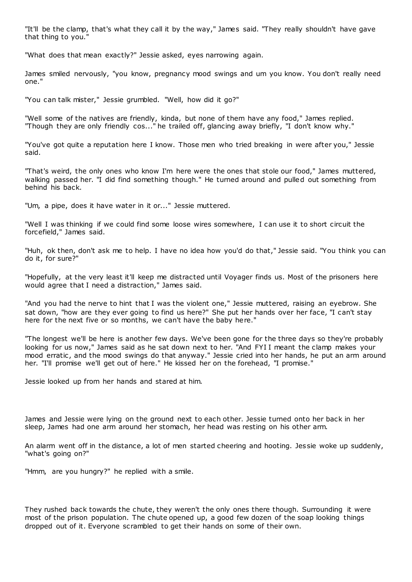"It'll be the clamp, that's what they call it by the way," James said. "They really shouldn't have gave that thing to you."

"What does that mean exactly?" Jessie asked, eyes narrowing again.

James smiled nervously, "you know, pregnancy mood swings and um you know. You don't really need one."

"You can talk mister," Jessie grumbled. "Well, how did it go?"

"Well some of the natives are friendly, kinda, but none of them have any food," James replied. "Though they are only friendly cos..." he trailed off, glancing away briefly, "I don't know why."

"You've got quite a reputation here I know. Those men who tried breaking in were after you," Jessie said.

"That's weird, the only ones who know I'm here were the ones that stole our food," James muttered, walking passed her. "I did find something though." He turned around and pulled out something from behind his back.

"Um, a pipe, does it have water in it or..." Jessie muttered.

"Well I was thinking if we could find some loose wires somewhere, I can use it to short circuit the forcefield," James said.

"Huh, ok then, don't ask me to help. I have no idea how you'd do that," Jessie said. "You think you can do it, for sure?"

"Hopefully, at the very least it'll keep me distracted until Voyager finds us. Most of the prisoners here would agree that I need a distraction," James said.

"And you had the nerve to hint that I was the violent one," Jessie muttered, raising an eyebrow. She sat down, "how are they ever going to find us here?" She put her hands over her face, "I can't stay here for the next five or so months, we can't have the baby here."

"The longest we'll be here is another few days. We've been gone for the three days so they're probably looking for us now," James said as he sat down next to her. "And FYI I meant the clamp makes your mood erratic, and the mood swings do that anyway." Jessie cried into her hands, he put an arm around her. "I'll promise we'll get out of here." He kissed her on the forehead, "I promise."

Jessie looked up from her hands and stared at him.

James and Jessie were lying on the ground next to each other. Jessie turned onto her back in her sleep, James had one arm around her stomach, her head was resting on his other arm.

An alarm went off in the distance, a lot of men started cheering and hooting. Jessie woke up suddenly, "what's going on?"

"Hmm, are you hungry?" he replied with a smile.

They rushed back towards the chute, they weren't the only ones there though. Surrounding it were most of the prison population. The chute opened up, a good few dozen of the soap looking things dropped out of it. Everyone scrambled to get their hands on some of their own.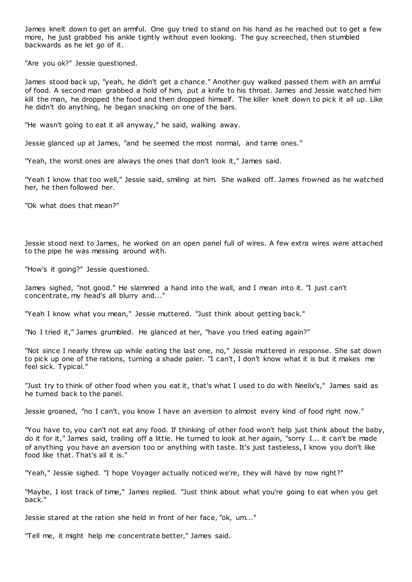James knelt down to get an armful. One guy tried to stand on his hand as he reached out to get a few more, he just grabbed his ankle tightly without even looking. The guy screeched, then stumbled backwards as he let go of it.

"Are you ok?" Jessie questioned.

James stood back up, "yeah, he didn't get a chance." Another guy walked passed them with an armful of food. A second man grabbed a hold of him, put a knife to his throat. James and Jessie watched him kill the man, he dropped the food and then dropped himself. The killer knelt down to pick it all up. Like he didn't do anything, he began snacking on one of the bars.

"He wasn't going to eat it all anyway," he said, walking away.

Jessie glanced up at James, "and he seemed the most normal, and tame ones."

"Yeah, the worst ones are always the ones that don't look it," James said.

"Yeah I know that too well," Jessie said, smiling at him. She walked off. James frowned as he watched her, he then followed her.

"Ok what does that mean?"

Jessie stood next to James, he worked on an open panel full of wires. A few extra wires were attached to the pipe he was messing around with.

"How's it going?" Jessie questioned.

James sighed, "not good." He slammed a hand into the wall, and I mean into it. "I just can't concentrate, my head's all blurry and..."

"Yeah I know what you mean," Jessie muttered. "Just think about getting back."

"No I tried it," James grumbled. He glanced at her, "have you tried eating again?"

"Not since I nearly threw up while eating the last one, no," Jessie muttered in response. She sat down to pick up one of the rations, turning a shade paler. "I can't, I don't know what it is but it makes me feel sick. Typical."

"Just try to think of other food when you eat it, that's what I used to do with Neelix's," James said as he turned back to the panel.

Jessie groaned, "no I can't, you know I have an aversion to almost every kind of food right now."

"You have to, you can't not eat any food. If thinking of other food won't help just think about the baby, do it for it," James said, trailing off a little. He turned to look at her again, "sorry I... it can't be made of anything you have an aversion too or anything with taste. It's just tasteless, I know you don't like food like that. That's all it is."

"Yeah," Jessie sighed. "I hope Voyager actually noticed we're, they will have by now right?"

"Maybe, I lost track of time," James replied. "Just think about what you're going to eat when you get back."

Jessie stared at the ration she held in front of her face, "ok, um..."

"Tell me, it might help me concentrate better," James said.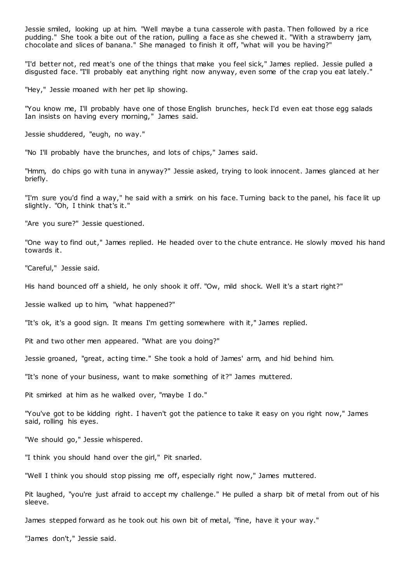Jessie smiled, looking up at him. "Well maybe a tuna casserole with pasta. Then followed by a rice pudding." She took a bite out of the ration, pulling a face as she chewed it. "With a strawberry jam, chocolate and slices of banana." She managed to finish it off, "what will you be having?"

"I'd better not, red meat's one of the things that make you feel sick," James replied. Jessie pulled a disgusted face. "I'll probably eat anything right now anyway, even some of the crap you eat lately."

"Hey," Jessie moaned with her pet lip showing.

"You know me, I'll probably have one of those English brunches, heck I'd even eat those egg salads Ian insists on having every morning," James said.

Jessie shuddered, "eugh, no way."

"No I'll probably have the brunches, and lots of chips," James said.

"Hmm, do chips go with tuna in anyway?" Jessie asked, trying to look innocent. James glanced at her briefly.

"I'm sure you'd find a way," he said with a smirk on his face. Turning back to the panel, his face lit up slightly. "Oh, I think that's it."

"Are you sure?" Jessie questioned.

"One way to find out," James replied. He headed over to the chute entrance. He slowly moved his hand towards it.

"Careful," Jessie said.

His hand bounced off a shield, he only shook it off. "Ow, mild shock. Well it's a start right?"

Jessie walked up to him, "what happened?"

"It's ok, it's a good sign. It means I'm getting somewhere with it," James replied.

Pit and two other men appeared. "What are you doing?"

Jessie groaned, "great, acting time." She took a hold of James' arm, and hid behind him.

"It's none of your business, want to make something of it?" James muttered.

Pit smirked at him as he walked over, "maybe I do."

"You've got to be kidding right. I haven't got the patience to take it easy on you right now," James said, rolling his eyes.

"We should go," Jessie whispered.

"I think you should hand over the girl," Pit snarled.

"Well I think you should stop pissing me off, especially right now," James muttered.

Pit laughed, "you're just afraid to accept my challenge." He pulled a sharp bit of metal from out of his sleeve.

James stepped forward as he took out his own bit of metal, "fine, have it your way."

"James don't," Jessie said.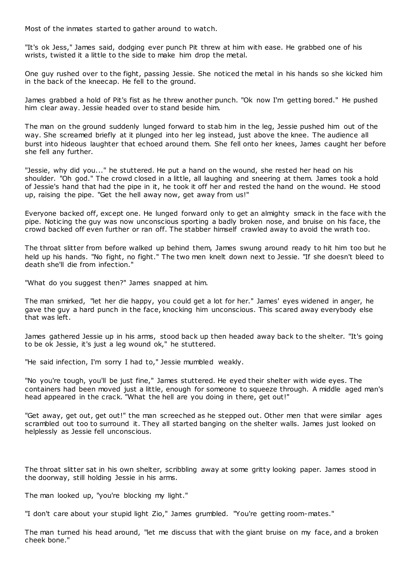Most of the inmates started to gather around to watch.

"It's ok Jess," James said, dodging ever punch Pit threw at him with ease. He grabbed one of his wrists, twisted it a little to the side to make him drop the metal.

One guy rushed over to the fight, passing Jessie. She noticed the metal in his hands so she kicked him in the back of the kneecap. He fell to the ground.

James grabbed a hold of Pit's fist as he threw another punch. "Ok now I'm getting bored." He pushed him clear away. Jessie headed over to stand beside him.

The man on the ground suddenly lunged forward to stab him in the leg, Jessie pushed him out of the way. She screamed briefly at it plunged into her leg instead, just above the knee. The audience all burst into hideous laughter that echoed around them. She fell onto her knees, James caught her before she fell any further.

"Jessie, why did you..." he stuttered. He put a hand on the wound, she rested her head on his shoulder. "Oh god." The crowd closed in a little, all laughing and sneering at them. James took a hold of Jessie's hand that had the pipe in it, he took it off her and rested the hand on the wound. He stood up, raising the pipe. "Get the hell away now, get away from us!"

Everyone backed off, except one. He lunged forward only to get an almighty smack in the face with the pipe. Noticing the guy was now unconscious sporting a badly broken nose, and bruise on his face, the crowd backed off even further or ran off. The stabber himself crawled away to avoid the wrath too.

The throat slitter from before walked up behind them, James swung around ready to hit him too but he held up his hands. "No fight, no fight." The two men knelt down next to Jessie. "If she doesn't bleed to death she'll die from infection."

"What do you suggest then?" James snapped at him.

The man smirked, "let her die happy, you could get a lot for her." James' eyes widened in anger, he gave the guy a hard punch in the face, knocking him unconscious. This scared away everybody else that was left.

James gathered Jessie up in his arms, stood back up then headed away back to the shelter. "It's going to be ok Jessie, it's just a leg wound ok," he stuttered.

"He said infection, I'm sorry I had to," Jessie mumbled weakly.

"No you're tough, you'll be just fine," James stuttered. He eyed their shelter with wide eyes. The containers had been moved just a little, enough for someone to squeeze through. A middle aged man's head appeared in the crack. "What the hell are you doing in there, get out!"

"Get away, get out, get out!" the man screeched as he stepped out. Other men that were similar ages scrambled out too to surround it. They all started banging on the shelter walls. James just looked on helplessly as Jessie fell unconscious.

The throat slitter sat in his own shelter, scribbling away at some gritty looking paper. James stood in the doorway, still holding Jessie in his arms.

The man looked up, "you're blocking my light."

"I don't care about your stupid light Zio," James grumbled. "You're getting room-mates."

The man turned his head around, "let me discuss that with the giant bruise on my face, and a broken cheek bone."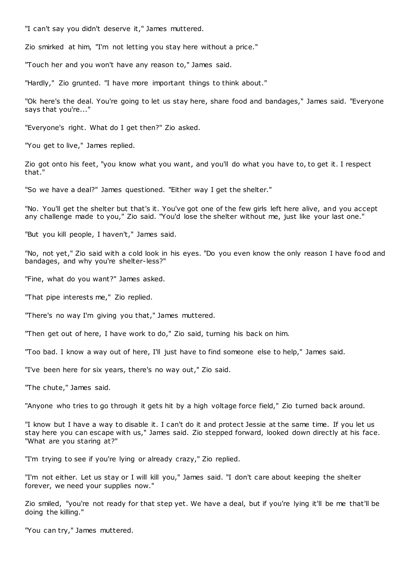"I can't say you didn't deserve it," James muttered.

Zio smirked at him, "I'm not letting you stay here without a price."

"Touch her and you won't have any reason to," James said.

"Hardly," Zio grunted. "I have more important things to think about."

"Ok here's the deal. You're going to let us stay here, share food and bandages," James said. "Everyone says that you're..."

"Everyone's right. What do I get then?" Zio asked.

"You get to live," James replied.

Zio got onto his feet, "you know what you want, and you'll do what you have to, to get it. I respect that."

"So we have a deal?" James questioned. "Either way I get the shelter."

"No. You'll get the shelter but that's it. You've got one of the few girls left here alive, and you accept any challenge made to you," Zio said. "You'd lose the shelter without me, just like your last one."

"But you kill people, I haven't," James said.

"No, not yet," Zio said with a cold look in his eyes. "Do you even know the only reason I have food and bandages, and why you're shelter-less?"

"Fine, what do you want?" James asked.

"That pipe interests me," Zio replied.

"There's no way I'm giving you that," James muttered.

"Then get out of here, I have work to do," Zio said, turning his back on him.

"Too bad. I know a way out of here, I'll just have to find someone else to help," James said.

"I've been here for six years, there's no way out," Zio said.

"The chute," James said.

"Anyone who tries to go through it gets hit by a high voltage force field," Zio turned back around.

"I know but I have a way to disable it. I can't do it and protect Jessie at the same time. If you let us stay here you can escape with us," James said. Zio stepped forward, looked down directly at his face. "What are you staring at?"

"I'm trying to see if you're lying or already crazy," Zio replied.

"I'm not either. Let us stay or I will kill you," James said. "I don't care about keeping the shelter forever, we need your supplies now."

Zio smiled, "you're not ready for that step yet. We have a deal, but if you're lying it'll be me that'll be doing the killing."

"You can try," James muttered.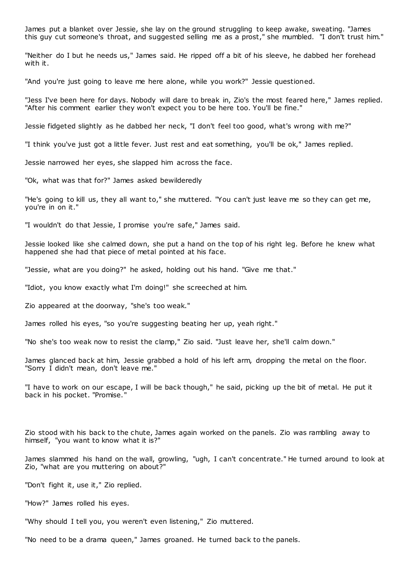James put a blanket over Jessie, she lay on the ground struggling to keep awake, sweating. "James this guy cut someone's throat, and suggested selling me as a prost," she mumbled. "I don't trust him."

"Neither do I but he needs us," James said. He ripped off a bit of his sleeve, he dabbed her forehead with it.

"And you're just going to leave me here alone, while you work?" Jessie questioned.

"Jess I've been here for days. Nobody will dare to break in, Zio's the most feared here," James replied. "After his comment earlier they won't expect you to be here too. You'll be fine."

Jessie fidgeted slightly as he dabbed her neck, "I don't feel too good, what's wrong with me?"

"I think you've just got a little fever. Just rest and eat something, you'll be ok," James replied.

Jessie narrowed her eyes, she slapped him across the face.

"Ok, what was that for?" James asked bewilderedly

"He's going to kill us, they all want to," she muttered. "You can't just leave me so they can get me, you're in on it."

"I wouldn't do that Jessie, I promise you're safe," James said.

Jessie looked like she calmed down, she put a hand on the top of his right leg. Before he knew what happened she had that piece of metal pointed at his face.

"Jessie, what are you doing?" he asked, holding out his hand. "Give me that."

"Idiot, you know exactly what I'm doing!" she screeched at him.

Zio appeared at the doorway, "she's too weak."

James rolled his eyes, "so you're suggesting beating her up, yeah right."

"No she's too weak now to resist the clamp," Zio said. "Just leave her, she'll calm down."

James glanced back at him, Jessie grabbed a hold of his left arm, dropping the metal on the floor. "Sorry I didn't mean, don't leave me."

"I have to work on our escape, I will be back though," he said, picking up the bit of metal. He put it back in his pocket. "Promise."

Zio stood with his back to the chute, James again worked on the panels. Zio was rambling away to himself, "you want to know what it is?"

James slammed his hand on the wall, growling, "ugh, I can't concentrate." He turned around to look at Zio, "what are you muttering on about?"

"Don't fight it, use it," Zio replied.

"How?" James rolled his eyes.

"Why should I tell you, you weren't even listening," Zio muttered.

"No need to be a drama queen," James groaned. He turned back to the panels.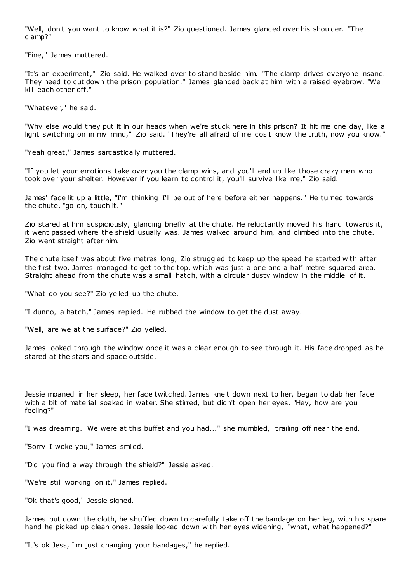"Well, don't you want to know what it is?" Zio questioned. James glanced over his shoulder. "The clamp?"

"Fine," James muttered.

"It's an experiment," Zio said. He walked over to stand beside him. "The clamp drives everyone insane. They need to cut down the prison population." James glanced back at him with a raised eyebrow. "We kill each other off."

"Whatever," he said.

"Why else would they put it in our heads when we're stuck here in this prison? It hit me one day, like a light switching on in my mind," Zio said. "They're all afraid of me cos I know the truth, now you know."

"Yeah great," James sarcastically muttered.

"If you let your emotions take over you the clamp wins, and you'll end up like those crazy men who took over your shelter. However if you learn to control it, you'll survive like me," Zio said.

James' face lit up a little, "I'm thinking I'll be out of here before either happens." He turned towards the chute, "go on, touch it."

Zio stared at him suspiciously, glancing briefly at the chute. He reluctantly moved his hand towards it, it went passed where the shield usually was. James walked around him, and climbed into the chute. Zio went straight after him.

The chute itself was about five metres long, Zio struggled to keep up the speed he started with after the first two. James managed to get to the top, which was just a one and a half metre squared area. Straight ahead from the chute was a small hatch, with a circular dusty window in the middle of it.

"What do you see?" Zio yelled up the chute.

"I dunno, a hatch," James replied. He rubbed the window to get the dust away.

"Well, are we at the surface?" Zio yelled.

James looked through the window once it was a clear enough to see through it. His face dropped as he stared at the stars and space outside.

Jessie moaned in her sleep, her face twitched. James knelt down next to her, began to dab her face with a bit of material soaked in water. She stirred, but didn't open her eyes. "Hey, how are you feeling?"

"I was dreaming. We were at this buffet and you had..." she mumbled, t railing off near the end.

"Sorry I woke you," James smiled.

"Did you find a way through the shield?" Jessie asked.

"We're still working on it," James replied.

"Ok that's good," Jessie sighed.

James put down the cloth, he shuffled down to carefully take off the bandage on her leg, with his spare hand he picked up clean ones. Jessie looked down with her eyes widening, "what, what happened?"

"It's ok Jess, I'm just changing your bandages," he replied.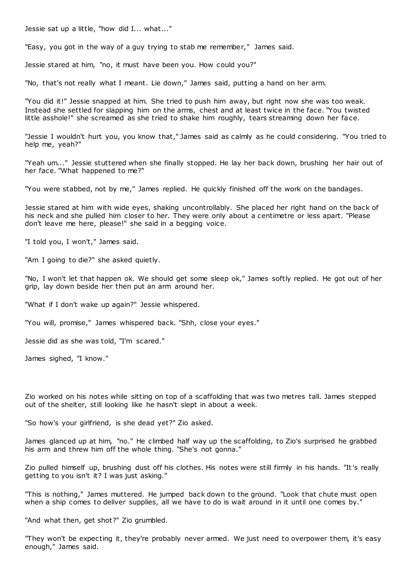Jessie sat up a little, "how did I... what..."

"Easy, you got in the way of a guy trying to stab me remember," James said.

Jessie stared at him, "no, it must have been you. How could you?"

"No, that's not really what I meant. Lie down," James said, putting a hand on her arm.

"You did it!" Jessie snapped at him. She tried to push him away, but right now she was too weak. Instead she settled for slapping him on the arms, chest and at least twice in the face. "You twisted little asshole!" she screamed as she tried to shake him roughly, tears streaming down her face.

"Jessie I wouldn't hurt you, you know that," James said as calmly as he could considering. "You tried to help me, yeah?"

"Yeah um..." Jessie stuttered when she finally stopped. He lay her back down, brushing her hair out of her face. "What happened to me?"

"You were stabbed, not by me," James replied. He quickly finished off the work on the bandages.

Jessie stared at him with wide eyes, shaking uncontrollably. She placed her right hand on the back of his neck and she pulled him closer to her. They were only about a centimetre or less apart. "Please don't leave me here, please!" she said in a begging voice.

"I told you, I won't," James said.

"Am I going to die?" she asked quietly.

"No, I won't let that happen ok. We should get some sleep ok," James softly replied. He got out of her grip, lay down beside her then put an arm around her.

"What if I don't wake up again?" Jessie whispered.

"You will, promise," James whispered back. "Shh, close your eyes."

Jessie did as she was told, "I'm scared."

James sighed, "I know."

Zio worked on his notes while sitting on top of a scaffolding that was two metres tall. James stepped out of the shelter, still looking like he hasn't slept in about a week.

"So how's your girlfriend, is she dead yet?" Zio asked.

James glanced up at him, "no." He climbed half way up the scaffolding, to Zio's surprised he grabbed his arm and threw him off the whole thing. "She's not gonna."

Zio pulled himself up, brushing dust off his clothes. His notes were still firmly in his hands. "It's really getting to you isn't it? I was just asking."

"This is nothing," James muttered. He jumped back down to the ground. "Look that chute must open when a ship comes to deliver supplies, all we have to do is wait around in it until one comes by."

"And what then, get shot?" Zio grumbled.

"They won't be expecting it, they're probably never armed. We just need to overpower them, it's easy enough," James said.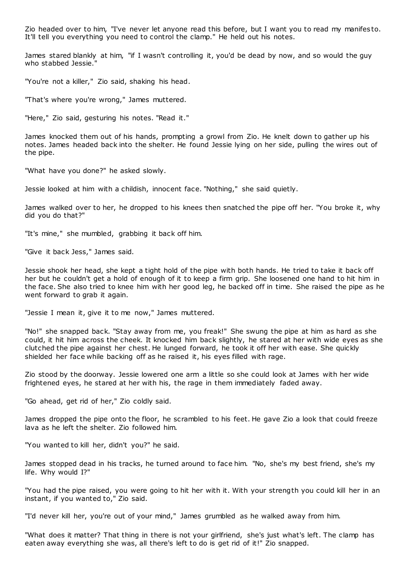Zio headed over to him, "I've never let anyone read this before, but I want you to read my manifes to. It'll tell you everything you need to control the clamp." He held out his notes.

James stared blankly at him, "if I wasn't controlling it, you'd be dead by now, and so would the guy who stabbed Jessie."

"You're not a killer," Zio said, shaking his head.

"That's where you're wrong," James muttered.

"Here," Zio said, gesturing his notes. "Read it."

James knocked them out of his hands, prompting a growl from Zio. He knelt down to gather up his notes. James headed back into the shelter. He found Jessie lying on her side, pulling the wires out of the pipe.

"What have you done?" he asked slowly.

Jessie looked at him with a childish, innocent face. "Nothing," she said quietly.

James walked over to her, he dropped to his knees then snatched the pipe off her. "You broke it, why did you do that?"

"It's mine," she mumbled, grabbing it back off him.

"Give it back Jess," James said.

Jessie shook her head, she kept a tight hold of the pipe with both hands. He tried to take it back off her but he couldn't get a hold of enough of it to keep a firm grip. She loosened one hand to hit him in the face. She also tried to knee him with her good leg, he backed off in time. She raised the pipe as he went forward to grab it again.

"Jessie I mean it, give it to me now," James muttered.

"No!" she snapped back. "Stay away from me, you freak!" She swung the pipe at him as hard as she could, it hit him across the cheek. It knocked him back slightly, he stared at her with wide eyes as she clutched the pipe against her chest. He lunged forward, he took it off her with ease. She quickly shielded her face while backing off as he raised it, his eyes filled with rage.

Zio stood by the doorway. Jessie lowered one arm a little so she could look at James with her wide frightened eyes, he stared at her with his, the rage in them immediately faded away.

"Go ahead, get rid of her," Zio coldly said.

James dropped the pipe onto the floor, he scrambled to his feet. He gave Zio a look that could freeze lava as he left the shelter. Zio followed him.

"You wanted to kill her, didn't you?" he said.

James stopped dead in his tracks, he turned around to face him. "No, she's my best friend, she's my life. Why would I?"

"You had the pipe raised, you were going to hit her with it. With your strength you could kill her in an instant, if you wanted to," Zio said.

"I'd never kill her, you're out of your mind," James grumbled as he walked away from him.

"What does it matter? That thing in there is not your girlfriend, she's just what's left. The clamp has eaten away everything she was, all there's left to do is get rid of it!" Zio snapped.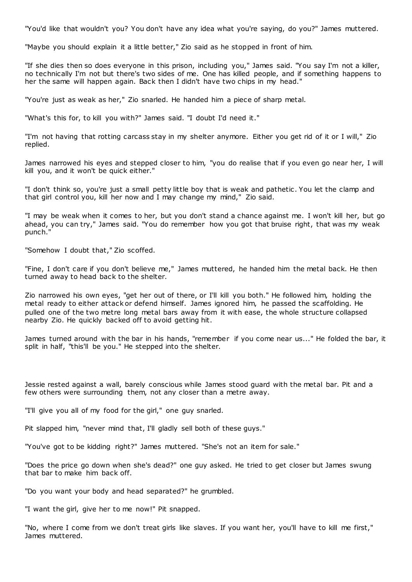"You'd like that wouldn't you? You don't have any idea what you're saying, do you?" James muttered.

"Maybe you should explain it a little better," Zio said as he stopped in front of him.

"If she dies then so does everyone in this prison, including you," James said. "You say I'm not a killer, no technically I'm not but there's two sides of me. One has killed people, and if something happens to her the same will happen again. Back then I didn't have two chips in my head."

"You're just as weak as her," Zio snarled. He handed him a piece of sharp metal.

"What's this for, to kill you with?" James said. "I doubt I'd need it."

"I'm not having that rotting carcass stay in my shelter anymore. Either you get rid of it or I will," Zio replied.

James narrowed his eyes and stepped closer to him, "you do realise that if you even go near her, I will kill you, and it won't be quick either."

"I don't think so, you're just a small petty little boy that is weak and pathetic . You let the clamp and that girl control you, kill her now and I may change my mind," Zio said.

"I may be weak when it comes to her, but you don't stand a chance against me. I won't kill her, but go ahead, you can try," James said. "You do remember how you got that bruise right, that was my weak punch."

"Somehow I doubt that," Zio scoffed.

"Fine, I don't care if you don't believe me," James muttered, he handed him the metal back. He then turned away to head back to the shelter.

Zio narrowed his own eyes, "get her out of there, or I'll kill you both." He followed him, holding the metal ready to either attack or defend himself. James ignored him, he passed the scaffolding. He pulled one of the two metre long metal bars away from it with ease, the whole structure collapsed nearby Zio. He quickly backed off to avoid getting hit.

James turned around with the bar in his hands, "remember if you come near us..." He folded the bar, it split in half, "this'll be you." He stepped into the shelter.

Jessie rested against a wall, barely conscious while James stood guard with the metal bar. Pit and a few others were surrounding them, not any closer than a metre away.

"I'll give you all of my food for the girl," one guy snarled.

Pit slapped him, "never mind that, I'll gladly sell both of these guys."

"You've got to be kidding right?" James muttered. "She's not an item for sale."

"Does the price go down when she's dead?" one guy asked. He tried to get closer but James swung that bar to make him back off.

"Do you want your body and head separated?" he grumbled.

"I want the girl, give her to me now!" Pit snapped.

"No, where I come from we don't treat girls like slaves. If you want her, you'll have to kill me first," James muttered.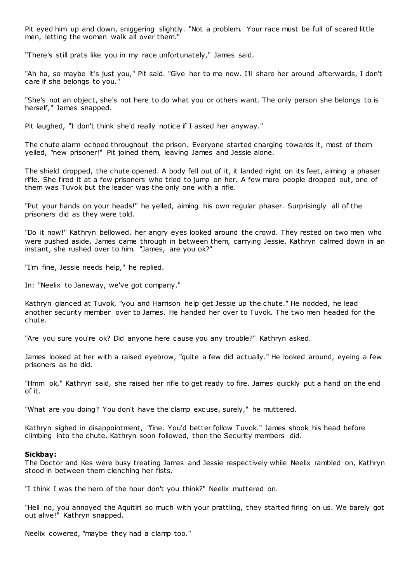Pit eyed him up and down, sniggering slightly. "Not a problem. Your race must be full of scared little men, letting the women walk all over them."

"There's still prats like you in my race unfortunately," James said.

"Ah ha, so maybe it's just you," Pit said. "Give her to me now. I'll share her around afterwards, I don't care if she belongs to you."

"She's not an object, she's not here to do what you or others want. The only person she belongs to is herself," James snapped.

Pit laughed, "I don't think she'd really notice if I asked her anyway."

The chute alarm echoed throughout the prison. Everyone started charging towards it, most of them yelled, "new prisoner!" Pit joined them, leaving James and Jessie alone.

The shield dropped, the chute opened. A body fell out of it, it landed right on its feet, aiming a phaser rifle. She fired it at a few prisoners who tried to jump on her. A few more people dropped out, one of them was Tuvok but the leader was the only one with a rifle.

"Put your hands on your heads!" he yelled, aiming his own regular phaser. Surprisingly all of the prisoners did as they were told.

"Do it now!" Kathryn bellowed, her angry eyes looked around the crowd. They rested on two men who were pushed aside, James came through in between them, carrying Jessie. Kathryn calmed down in an instant, she rushed over to him. "James, are you ok?"

"I'm fine, Jessie needs help," he replied.

In: "Neelix to Janeway, we've got company."

Kathryn glanced at Tuvok, "you and Harrison help get Jessie up the chute." He nodded, he lead another security member over to James. He handed her over to Tuvok. The two men headed for the chute.

"Are you sure you're ok? Did anyone here cause you any trouble?" Kathryn asked.

James looked at her with a raised eyebrow, "quite a few did actually." He looked around, eyeing a few prisoners as he did.

"Hmm ok," Kathryn said, she raised her rifle to get ready to fire. James quickly put a hand on the end of it.

"What are you doing? You don't have the clamp exc use, surely," he muttered.

Kathryn sighed in disappointment, "fine. You'd better follow Tuvok." James shook his head before climbing into the chute. Kathryn soon followed, then the Security members did.

# **Sickbay:**

The Doctor and Kes were busy treating James and Jessie respectively while Neelix rambled on, Kathryn stood in between them clenching her fists.

"I think I was the hero of the hour don't you think?" Neelix muttered on.

"Hell no, you annoyed the Aquitiri so much with your prattling, they started firing on us. We barely got out alive!" Kathryn snapped.

Neelix cowered, "maybe they had a clamp too."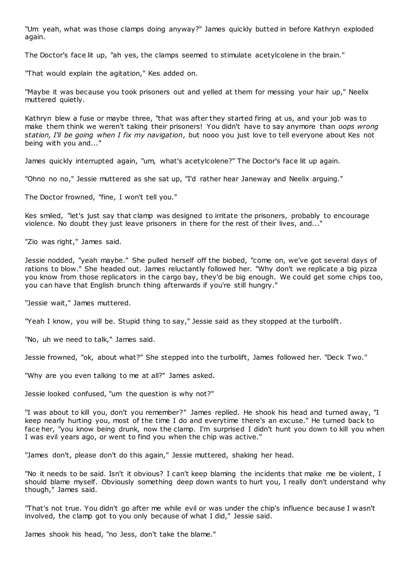"Um yeah, what was those clamps doing anyway?" James quickly butted in before Kathryn exploded again.

The Doctor's face lit up, "ah yes, the clamps seemed to stimulate acetylcolene in the brain."

"That would explain the agitation," Kes added on.

"Maybe it was because you took prisoners out and yelled at them for messing your hair up," Neelix muttered quietly.

Kathryn blew a fuse or maybe three, "that was after they started firing at us, and your job was to make them think we weren't taking their prisoners! You didn't have to say anymore than *oops wrong station, I'll be going when I fix my navigation*, but nooo you just love to tell everyone about Kes not being with you and..."

James quickly interrupted again, "um, what's acetylcolene?" The Doctor's face lit up again.

"Ohno no no," Jessie muttered as she sat up, "I'd rather hear Janeway and Neelix arguing."

The Doctor frowned, "fine, I won't tell you."

Kes smiled, "let's just say that clamp was designed to irritate the prisoners, probably to encourage violence. No doubt they just leave prisoners in there for the rest of their lives, and...'

"Zio was right," James said.

Jessie nodded, "yeah maybe." She pulled herself off the biobed, "come on, we've got several days of rations to blow." She headed out. James reluctantly followed her. "Why don't we replicate a big pizza you know from those replicators in the cargo bay, they'd be big enough. We could get some chips too, you can have that English brunch thing afterwards if you're still hungry."

"Jessie wait," James muttered.

"Yeah I know, you will be. Stupid thing to say," Jessie said as they stopped at the turbolift.

"No, uh we need to talk," James said.

Jessie frowned, "ok, about what?" She stepped into the turbolift, James followed her. "Deck Two."

"Why are you even talking to me at all?" James asked.

Jessie looked confused, "um the question is why not?"

"I was about to kill you, don't you remember?" James replied. He shook his head and turned away, "I keep nearly hurting you, most of the time I do and everytime there's an excuse." He turned back to face her, "you know being drunk, now the clamp. I'm surprised I didn't hunt you down to kill you when I was evil years ago, or went to find you when the chip was active."

"James don't, please don't do this again," Jessie muttered, shaking her head.

"No it needs to be said. Isn't it obvious? I can't keep blaming the incidents that make me be violent, I should blame myself. Obviously something deep down wants to hurt you, I really don't understand why though," James said.

"That's not true. You didn't go after me while evil or was under the chip's influence because I w asn't involved, the clamp got to you only because of what I did," Jessie said.

James shook his head, "no Jess, don't take the blame."